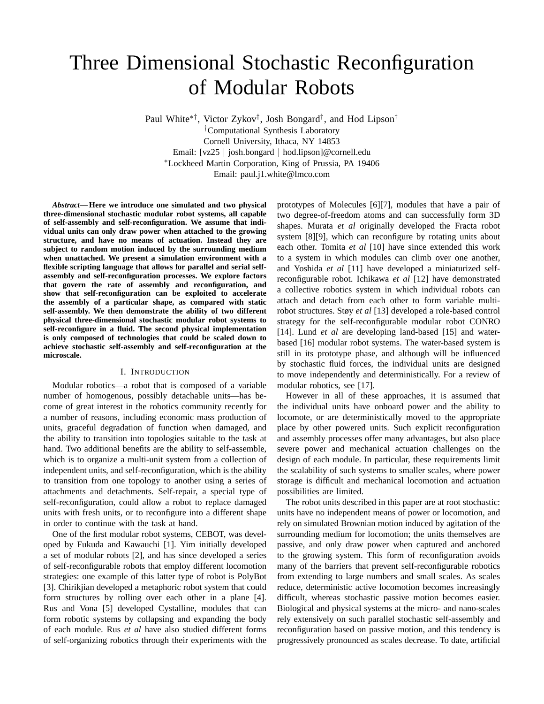# Three Dimensional Stochastic Reconfiguration of Modular Robots

Paul White∗†, Victor Zykov†, Josh Bongard†, and Hod Lipson† †Computational Synthesis Laboratory Cornell University, Ithaca, NY 14853

Email: [vz25 *<sup>|</sup>* josh.bongard *<sup>|</sup>* hod.lipson]@cornell.edu <sup>∗</sup>Lockheed Martin Corporation, King of Prussia, PA 19406

Email: paul.j1.white@lmco.com

*Abstract***— Here we introduce one simulated and two physical three-dimensional stochastic modular robot systems, all capable of self-assembly and self-reconfiguration. We assume that individual units can only draw power when attached to the growing structure, and have no means of actuation. Instead they are subject to random motion induced by the surrounding medium when unattached. We present a simulation environment with a flexible scripting language that allows for parallel and serial selfassembly and self-reconfiguration processes. We explore factors that govern the rate of assembly and reconfiguration, and show that self-reconfiguration can be exploited to accelerate the assembly of a particular shape, as compared with static self-assembly. We then demonstrate the ability of two different physical three-dimensional stochastic modular robot systems to self-reconfigure in a fluid. The second physical implementation is only composed of technologies that could be scaled down to achieve stochastic self-assembly and self-reconfiguration at the microscale.**

#### I. INTRODUCTION

Modular robotics—a robot that is composed of a variable number of homogenous, possibly detachable units—has become of great interest in the robotics community recently for a number of reasons, including economic mass production of units, graceful degradation of function when damaged, and the ability to transition into topologies suitable to the task at hand. Two additional benefits are the ability to self-assemble, which is to organize a multi-unit system from a collection of independent units, and self-reconfiguration, which is the ability to transition from one topology to another using a series of attachments and detachments. Self-repair, a special type of self-reconfiguration, could allow a robot to replace damaged units with fresh units, or to reconfigure into a different shape in order to continue with the task at hand.

One of the first modular robot systems, CEBOT, was developed by Fukuda and Kawauchi [1]. Yim initially developed a set of modular robots [2], and has since developed a series of self-reconfigurable robots that employ different locomotion strategies: one example of this latter type of robot is PolyBot [3]. Chirikjian developed a metaphoric robot system that could form structures by rolling over each other in a plane [4]. Rus and Vona [5] developed Cystalline, modules that can form robotic systems by collapsing and expanding the body of each module. Rus *et al* have also studied different forms of self-organizing robotics through their experiments with the

prototypes of Molecules [6][7], modules that have a pair of two degree-of-freedom atoms and can successfully form 3D shapes. Murata *et al* originally developed the Fracta robot system [8][9], which can reconfigure by rotating units about each other. Tomita *et al* [10] have since extended this work to a system in which modules can climb over one another, and Yoshida *et al* [11] have developed a miniaturized selfreconfigurable robot. Ichikawa *et al* [12] have demonstrated a collective robotics system in which individual robots can attach and detach from each other to form variable multirobot structures. Støy *et al* [13] developed a role-based control strategy for the self-reconfigurable modular robot CONRO [14]. Lund *et al* are developing land-based [15] and waterbased [16] modular robot systems. The water-based system is still in its prototype phase, and although will be influenced by stochastic fluid forces, the individual units are designed to move independently and deterministically. For a review of modular robotics, see [17].

However in all of these approaches, it is assumed that the individual units have onboard power and the ability to locomote, or are deterministically moved to the appropriate place by other powered units. Such explicit reconfiguration and assembly processes offer many advantages, but also place severe power and mechanical actuation challenges on the design of each module. In particular, these requirements limit the scalability of such systems to smaller scales, where power storage is difficult and mechanical locomotion and actuation possibilities are limited.

The robot units described in this paper are at root stochastic: units have no independent means of power or locomotion, and rely on simulated Brownian motion induced by agitation of the surrounding medium for locomotion; the units themselves are passive, and only draw power when captured and anchored to the growing system. This form of reconfiguration avoids many of the barriers that prevent self-reconfigurable robotics from extending to large numbers and small scales. As scales reduce, deterministic active locomotion becomes increasingly difficult, whereas stochastic passive motion becomes easier. Biological and physical systems at the micro- and nano-scales rely extensively on such parallel stochastic self-assembly and reconfiguration based on passive motion, and this tendency is progressively pronounced as scales decrease. To date, artificial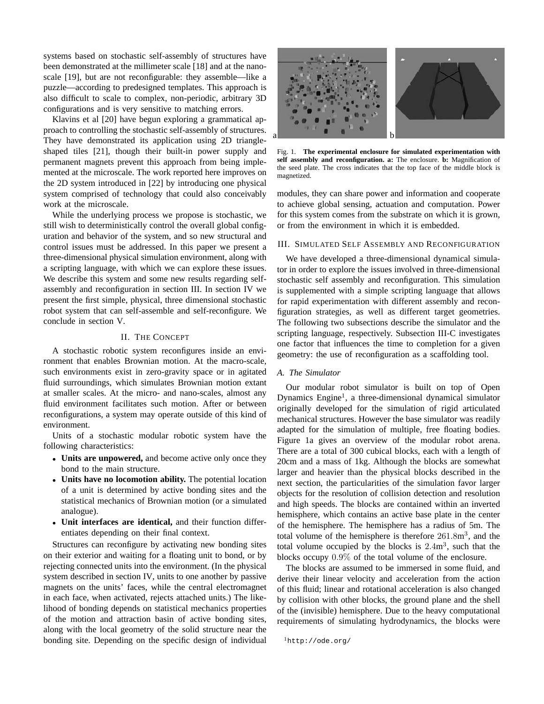systems based on stochastic self-assembly of structures have been demonstrated at the millimeter scale [18] and at the nanoscale [19], but are not reconfigurable: they assemble—like a puzzle—according to predesigned templates. This approach is also difficult to scale to complex, non-periodic, arbitrary 3D configurations and is very sensitive to matching errors.

Klavins et al [20] have begun exploring a grammatical approach to controlling the stochastic self-assembly of structures. They have demonstrated its application using 2D triangleshaped tiles [21], though their built-in power supply and permanent magnets prevent this approach from being implemented at the microscale. The work reported here improves on the 2D system introduced in [22] by introducing one physical system comprised of technology that could also conceivably work at the microscale.

While the underlying process we propose is stochastic, we still wish to deterministically control the overall global configuration and behavior of the system, and so new structural and control issues must be addressed. In this paper we present a three-dimensional physical simulation environment, along with a scripting language, with which we can explore these issues. We describe this system and some new results regarding selfassembly and reconfiguration in section III. In section IV we present the first simple, physical, three dimensional stochastic robot system that can self-assemble and self-reconfigure. We conclude in section V.

# II. THE CONCEPT

A stochastic robotic system reconfigures inside an environment that enables Brownian motion. At the macro-scale, such environments exist in zero-gravity space or in agitated fluid surroundings, which simulates Brownian motion extant at smaller scales. At the micro- and nano-scales, almost any fluid environment facilitates such motion. After or between reconfigurations, a system may operate outside of this kind of environment.

Units of a stochastic modular robotic system have the following characteristics:

- *•* **Units are unpowered,** and become active only once they bond to the main structure.
- *•* **Units have no locomotion ability.** The potential location of a unit is determined by active bonding sites and the statistical mechanics of Brownian motion (or a simulated analogue).
- *•* **Unit interfaces are identical,** and their function differentiates depending on their final context.

Structures can reconfigure by activating new bonding sites on their exterior and waiting for a floating unit to bond, or by rejecting connected units into the environment. (In the physical system described in section IV, units to one another by passive magnets on the units' faces, while the central electromagnet in each face, when activated, rejects attached units.) The likelihood of bonding depends on statistical mechanics properties of the motion and attraction basin of active bonding sites, along with the local geometry of the solid structure near the bonding site. Depending on the specific design of individual



Fig. 1. **The experimental enclosure for simulated experimentation with self assembly and reconfiguration. a:** The enclosure. **b:** Magnification of the seed plate. The cross indicates that the top face of the middle block is magnetized.

modules, they can share power and information and cooperate to achieve global sensing, actuation and computation. Power for this system comes from the substrate on which it is grown, or from the environment in which it is embedded.

### III. SIMULATED SELF ASSEMBLY AND RECONFIGURATION

We have developed a three-dimensional dynamical simulator in order to explore the issues involved in three-dimensional stochastic self assembly and reconfiguration. This simulation is supplemented with a simple scripting language that allows for rapid experimentation with different assembly and reconfiguration strategies, as well as different target geometries. The following two subsections describe the simulator and the scripting language, respectively. Subsection III-C investigates one factor that influences the time to completion for a given geometry: the use of reconfiguration as a scaffolding tool.

# *A. The Simulator*

Our modular robot simulator is built on top of Open Dynamics Engine<sup>1</sup>, a three-dimensional dynamical simulator originally developed for the simulation of rigid articulated mechanical structures. However the base simulator was readily adapted for the simulation of multiple, free floating bodies. Figure 1a gives an overview of the modular robot arena. There are a total of 300 cubical blocks, each with a length of 20cm and a mass of 1kg. Although the blocks are somewhat larger and heavier than the physical blocks described in the next section, the particularities of the simulation favor larger objects for the resolution of collision detection and resolution and high speeds. The blocks are contained within an inverted hemisphere, which contains an active base plate in the center of the hemisphere. The hemisphere has a radius of 5m. The total volume of the hemisphere is therefore  $261.8m<sup>3</sup>$ , and the total volume occupied by the blocks is  $2.4m<sup>3</sup>$ , such that the blocks occupy 0.9% of the total volume of the enclosure.

The blocks are assumed to be immersed in some fluid, and derive their linear velocity and acceleration from the action of this fluid; linear and rotational acceleration is also changed by collision with other blocks, the ground plane and the shell of the (invisible) hemisphere. Due to the heavy computational requirements of simulating hydrodynamics, the blocks were

```
1http://ode.org/
```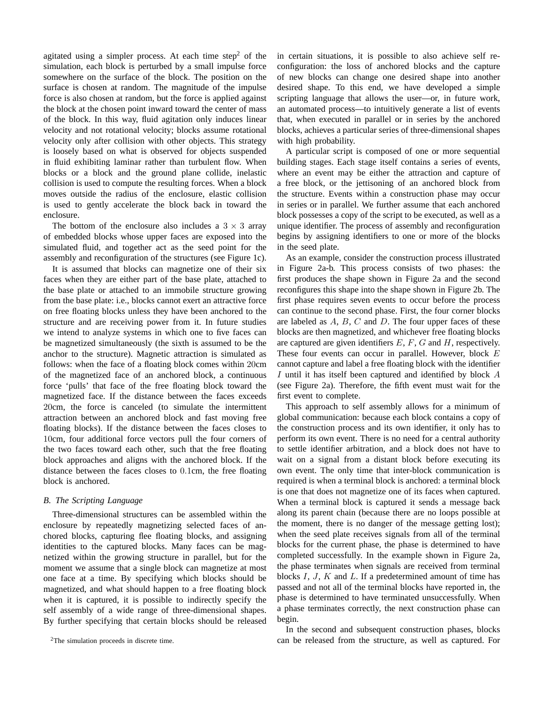agitated using a simpler process. At each time step<sup>2</sup> of the simulation, each block is perturbed by a small impulse force somewhere on the surface of the block. The position on the surface is chosen at random. The magnitude of the impulse force is also chosen at random, but the force is applied against the block at the chosen point inward toward the center of mass of the block. In this way, fluid agitation only induces linear velocity and not rotational velocity; blocks assume rotational velocity only after collision with other objects. This strategy is loosely based on what is observed for objects suspended in fluid exhibiting laminar rather than turbulent flow. When blocks or a block and the ground plane collide, inelastic collision is used to compute the resulting forces. When a block moves outside the radius of the enclosure, elastic collision is used to gently accelerate the block back in toward the enclosure.

The bottom of the enclosure also includes a  $3 \times 3$  array of embedded blocks whose upper faces are exposed into the simulated fluid, and together act as the seed point for the assembly and reconfiguration of the structures (see Figure 1c).

It is assumed that blocks can magnetize one of their six faces when they are either part of the base plate, attached to the base plate or attached to an immobile structure growing from the base plate: i.e., blocks cannot exert an attractive force on free floating blocks unless they have been anchored to the structure and are receiving power from it. In future studies we intend to analyze systems in which one to five faces can be magnetized simultaneously (the sixth is assumed to be the anchor to the structure). Magnetic attraction is simulated as follows: when the face of a floating block comes within 20cm of the magnetized face of an anchored block, a continuous force 'pulls' that face of the free floating block toward the magnetized face. If the distance between the faces exceeds 20cm, the force is canceled (to simulate the intermittent attraction between an anchored block and fast moving free floating blocks). If the distance between the faces closes to 10cm, four additional force vectors pull the four corners of the two faces toward each other, such that the free floating block approaches and aligns with the anchored block. If the distance between the faces closes to 0.1cm, the free floating block is anchored.

#### *B. The Scripting Language*

Three-dimensional structures can be assembled within the enclosure by repeatedly magnetizing selected faces of anchored blocks, capturing flee floating blocks, and assigning identities to the captured blocks. Many faces can be magnetized within the growing structure in parallel, but for the moment we assume that a single block can magnetize at most one face at a time. By specifying which blocks should be magnetized, and what should happen to a free floating block when it is captured, it is possible to indirectly specify the self assembly of a wide range of three-dimensional shapes. By further specifying that certain blocks should be released in certain situations, it is possible to also achieve self reconfiguration: the loss of anchored blocks and the capture of new blocks can change one desired shape into another desired shape. To this end, we have developed a simple scripting language that allows the user—or, in future work, an automated process—to intuitively generate a list of events that, when executed in parallel or in series by the anchored blocks, achieves a particular series of three-dimensional shapes with high probability.

A particular script is composed of one or more sequential building stages. Each stage itself contains a series of events, where an event may be either the attraction and capture of a free block, or the jettisoning of an anchored block from the structure. Events within a construction phase may occur in series or in parallel. We further assume that each anchored block possesses a copy of the script to be executed, as well as a unique identifier. The process of assembly and reconfiguration begins by assigning identifiers to one or more of the blocks in the seed plate.

As an example, consider the construction process illustrated in Figure 2a-b. This process consists of two phases: the first produces the shape shown in Figure 2a and the second reconfigures this shape into the shape shown in Figure 2b. The first phase requires seven events to occur before the process can continue to the second phase. First, the four corner blocks are labeled as  $A, B, C$  and  $D$ . The four upper faces of these blocks are then magnetized, and whichever free floating blocks are captured are given identifiers  $E, F, G$  and  $H$ , respectively. These four events can occur in parallel. However, block E cannot capture and label a free floating block with the identifier I until it has itself been captured and identified by block A (see Figure 2a). Therefore, the fifth event must wait for the first event to complete.

This approach to self assembly allows for a minimum of global communication: because each block contains a copy of the construction process and its own identifier, it only has to perform its own event. There is no need for a central authority to settle identifier arbitration, and a block does not have to wait on a signal from a distant block before executing its own event. The only time that inter-block communication is required is when a terminal block is anchored: a terminal block is one that does not magnetize one of its faces when captured. When a terminal block is captured it sends a message back along its parent chain (because there are no loops possible at the moment, there is no danger of the message getting lost); when the seed plate receives signals from all of the terminal blocks for the current phase, the phase is determined to have completed successfully. In the example shown in Figure 2a, the phase terminates when signals are received from terminal blocks  $I, J, K$  and  $L$ . If a predetermined amount of time has passed and not all of the terminal blocks have reported in, the phase is determined to have terminated unsuccessfully. When a phase terminates correctly, the next construction phase can begin.

In the second and subsequent construction phases, blocks can be released from the structure, as well as captured. For

<sup>&</sup>lt;sup>2</sup>The simulation proceeds in discrete time.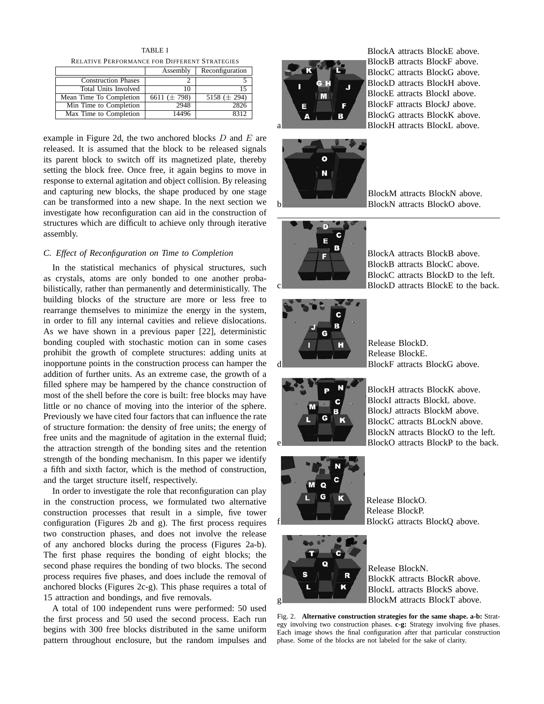TABLE I RELATIVE PERFORMANCE FOR DIFFERENT STRATEGIES

|                            | Assembly          | Reconfiguration  |
|----------------------------|-------------------|------------------|
| <b>Construction Phases</b> |                   |                  |
| Total Units Involved       | 10                |                  |
| Mean Time To Completion    | 6611 ( $\pm$ 798) | 5158 $(\pm 294)$ |
| Min Time to Completion     | 2948              | 2826             |
| Max Time to Completion     | 14496             | 8317             |

example in Figure 2d, the two anchored blocks  $D$  and  $E$  are released. It is assumed that the block to be released signals its parent block to switch off its magnetized plate, thereby setting the block free. Once free, it again begins to move in response to external agitation and object collision. By releasing and capturing new blocks, the shape produced by one stage can be transformed into a new shape. In the next section we investigate how reconfiguration can aid in the construction of structures which are difficult to achieve only through iterative assembly.

# *C. Effect of Reconfiguration on Time to Completion*

In the statistical mechanics of physical structures, such as crystals, atoms are only bonded to one another probabilistically, rather than permanently and deterministically. The building blocks of the structure are more or less free to rearrange themselves to minimize the energy in the system, in order to fill any internal cavities and relieve dislocations. As we have shown in a previous paper [22], deterministic bonding coupled with stochastic motion can in some cases prohibit the growth of complete structures: adding units at inopportune points in the construction process can hamper the addition of further units. As an extreme case, the growth of a filled sphere may be hampered by the chance construction of most of the shell before the core is built: free blocks may have little or no chance of moving into the interior of the sphere. Previously we have cited four factors that can influence the rate of structure formation: the density of free units; the energy of free units and the magnitude of agitation in the external fluid; the attraction strength of the bonding sites and the retention strength of the bonding mechanism. In this paper we identify a fifth and sixth factor, which is the method of construction, and the target structure itself, respectively.

In order to investigate the role that reconfiguration can play in the construction process, we formulated two alternative construction processes that result in a simple, five tower configuration (Figures 2b and g). The first process requires two construction phases, and does not involve the release of any anchored blocks during the process (Figures 2a-b). The first phase requires the bonding of eight blocks; the second phase requires the bonding of two blocks. The second process requires five phases, and does include the removal of anchored blocks (Figures 2c-g). This phase requires a total of 15 attraction and bondings, and five removals.

A total of 100 independent runs were performed: 50 used the first process and 50 used the second process. Each run begins with 300 free blocks distributed in the same uniform pattern throughout enclosure, but the random impulses and



BlockA attracts BlockE above. BlockB attracts BlockF above. BlockC attracts BlockG above. BlockD attracts BlockH above. BlockE attracts BlockI above. BlockF attracts BlockJ above. BlockG attracts BlockK above. BlockH attracts BlockL above.



BlockM attracts BlockN above. BlockN attracts BlockO above.



BlockA attracts BlockB above. BlockB attracts BlockC above. BlockC attracts BlockD to the left. BlockD attracts BlockE to the back.



Release BlockD. Release BlockE. BlockF attracts BlockG above.



BlockH attracts BlockK above. BlockI attracts BlockL above. BlockJ attracts BlockM above. BlockC attracts BLockN above. BlockN attracts BlockO to the left. BlockO attracts BlockP to the back.



Release BlockO. Release BlockP. BlockG attracts BlockQ above.



f

Release BlockN. BlockK attracts BlockR above. BlockL attracts BlockS above. BlockM attracts BlockT above.

Fig. 2. **Alternative construction strategies for the same shape. a-b:** Strategy involving two construction phases. **c-g:** Strategy involving five phases. Each image shows the final configuration after that particular construction phase. Some of the blocks are not labeled for the sake of clarity.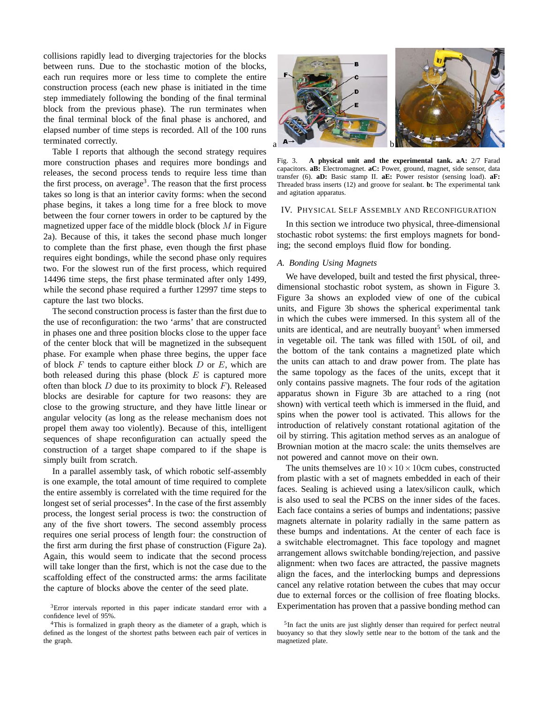collisions rapidly lead to diverging trajectories for the blocks between runs. Due to the stochastic motion of the blocks, each run requires more or less time to complete the entire construction process (each new phase is initiated in the time step immediately following the bonding of the final terminal block from the previous phase). The run terminates when the final terminal block of the final phase is anchored, and elapsed number of time steps is recorded. All of the 100 runs terminated correctly.

Table I reports that although the second strategy requires more construction phases and requires more bondings and releases, the second process tends to require less time than the first process, on average<sup>3</sup>. The reason that the first process takes so long is that an interior cavity forms: when the second phase begins, it takes a long time for a free block to move between the four corner towers in order to be captured by the magnetized upper face of the middle block (block  $M$  in Figure 2a). Because of this, it takes the second phase much longer to complete than the first phase, even though the first phase requires eight bondings, while the second phase only requires two. For the slowest run of the first process, which required 14496 time steps, the first phase terminated after only 1499, while the second phase required a further 12997 time steps to capture the last two blocks.

The second construction process is faster than the first due to the use of reconfiguration: the two 'arms' that are constructed in phases one and three position blocks close to the upper face of the center block that will be magnetized in the subsequent phase. For example when phase three begins, the upper face of block  $F$  tends to capture either block  $D$  or  $E$ , which are both released during this phase (block  $E$  is captured more often than block  $D$  due to its proximity to block  $F$ ). Released blocks are desirable for capture for two reasons: they are close to the growing structure, and they have little linear or angular velocity (as long as the release mechanism does not propel them away too violently). Because of this, intelligent sequences of shape reconfiguration can actually speed the construction of a target shape compared to if the shape is simply built from scratch.

In a parallel assembly task, of which robotic self-assembly is one example, the total amount of time required to complete the entire assembly is correlated with the time required for the longest set of serial processes $4$ . In the case of the first assembly process, the longest serial process is two: the construction of any of the five short towers. The second assembly process requires one serial process of length four: the construction of the first arm during the first phase of construction (Figure 2a). Again, this would seem to indicate that the second process will take longer than the first, which is not the case due to the scaffolding effect of the constructed arms: the arms facilitate the capture of blocks above the center of the seed plate.



Fig. 3. **A physical unit and the experimental tank. aA:** 2/7 Farad capacitors. **aB:** Electromagnet. **aC:** Power, ground, magnet, side sensor, data transfer (6). **aD:** Basic stamp II. **aE:** Power resistor (sensing load). **aF:** Threaded brass inserts (12) and groove for sealant. **b:** The experimental tank and agitation apparatus.

#### IV. PHYSICAL SELF ASSEMBLY AND RECONFIGURATION

In this section we introduce two physical, three-dimensional stochastic robot systems: the first employs magnets for bonding; the second employs fluid flow for bonding.

# *A. Bonding Using Magnets*

We have developed, built and tested the first physical, threedimensional stochastic robot system, as shown in Figure 3. Figure 3a shows an exploded view of one of the cubical units, and Figure 3b shows the spherical experimental tank in which the cubes were immersed. In this system all of the units are identical, and are neutrally buoyant<sup>5</sup> when immersed in vegetable oil. The tank was filled with 150L of oil, and the bottom of the tank contains a magnetized plate which the units can attach to and draw power from. The plate has the same topology as the faces of the units, except that it only contains passive magnets. The four rods of the agitation apparatus shown in Figure 3b are attached to a ring (not shown) with vertical teeth which is immersed in the fluid, and spins when the power tool is activated. This allows for the introduction of relatively constant rotational agitation of the oil by stirring. This agitation method serves as an analogue of Brownian motion at the macro scale: the units themselves are not powered and cannot move on their own.

The units themselves are  $10 \times 10 \times 10$ cm cubes, constructed from plastic with a set of magnets embedded in each of their faces. Sealing is achieved using a latex/silicon caulk, which is also used to seal the PCBS on the inner sides of the faces. Each face contains a series of bumps and indentations; passive magnets alternate in polarity radially in the same pattern as these bumps and indentations. At the center of each face is a switchable electromagnet. This face topology and magnet arrangement allows switchable bonding/rejection, and passive alignment: when two faces are attracted, the passive magnets align the faces, and the interlocking bumps and depressions cancel any relative rotation between the cubes that may occur due to external forces or the collision of free floating blocks. Experimentation has proven that a passive bonding method can

<sup>&</sup>lt;sup>3</sup>Error intervals reported in this paper indicate standard error with a confidence level of 95%.

<sup>&</sup>lt;sup>4</sup>This is formalized in graph theory as the diameter of a graph, which is defined as the longest of the shortest paths between each pair of vertices in the graph.

<sup>&</sup>lt;sup>5</sup>In fact the units are just slightly denser than required for perfect neutral buoyancy so that they slowly settle near to the bottom of the tank and the magnetized plate.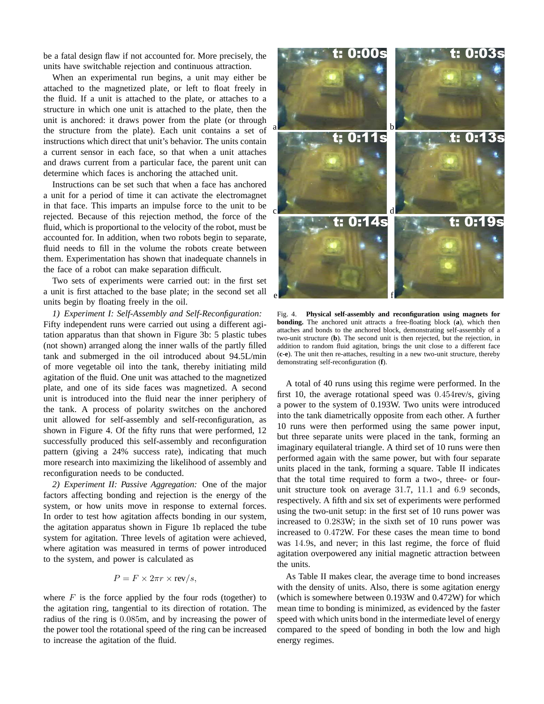be a fatal design flaw if not accounted for. More precisely, the units have switchable rejection and continuous attraction.

When an experimental run begins, a unit may either be attached to the magnetized plate, or left to float freely in the fluid. If a unit is attached to the plate, or attaches to a structure in which one unit is attached to the plate, then the unit is anchored: it draws power from the plate (or through the structure from the plate). Each unit contains a set of instructions which direct that unit's behavior. The units contain a current sensor in each face, so that when a unit attaches and draws current from a particular face, the parent unit can determine which faces is anchoring the attached unit.

Instructions can be set such that when a face has anchored a unit for a period of time it can activate the electromagnet in that face. This imparts an impulse force to the unit to be rejected. Because of this rejection method, the force of the fluid, which is proportional to the velocity of the robot, must be accounted for. In addition, when two robots begin to separate, fluid needs to fill in the volume the robots create between them. Experimentation has shown that inadequate channels in the face of a robot can make separation difficult.

Two sets of experiments were carried out: in the first set a unit is first attached to the base plate; in the second set all units begin by floating freely in the oil.

*1) Experiment I: Self-Assembly and Self-Reconfiguration:* Fifty independent runs were carried out using a different agitation apparatus than that shown in Figure 3b: 5 plastic tubes (not shown) arranged along the inner walls of the partly filled tank and submerged in the oil introduced about 94.5L/min of more vegetable oil into the tank, thereby initiating mild agitation of the fluid. One unit was attached to the magnetized plate, and one of its side faces was magnetized. A second unit is introduced into the fluid near the inner periphery of the tank. A process of polarity switches on the anchored unit allowed for self-assembly and self-reconfiguration, as shown in Figure 4. Of the fifty runs that were performed, 12 successfully produced this self-assembly and reconfiguration pattern (giving a 24% success rate), indicating that much more research into maximizing the likelihood of assembly and reconfiguration needs to be conducted.

*2) Experiment II: Passive Aggregation:* One of the major factors affecting bonding and rejection is the energy of the system, or how units move in response to external forces. In order to test how agitation affects bonding in our system, the agitation apparatus shown in Figure 1b replaced the tube system for agitation. Three levels of agitation were achieved, where agitation was measured in terms of power introduced to the system, and power is calculated as

$$
P = F \times 2\pi r \times \text{rev}/s,
$$

where  $F$  is the force applied by the four rods (together) to the agitation ring, tangential to its direction of rotation. The radius of the ring is 0.085m, and by increasing the power of the power tool the rotational speed of the ring can be increased to increase the agitation of the fluid.



Fig. 4. **Physical self-assembly and reconfiguration using magnets for bonding.** The anchored unit attracts a free-floating block (**a**), which then attaches and bonds to the anchored block, demonstrating self-assembly of a two-unit structure (**b**). The second unit is then rejected, but the rejection, in addition to random fluid agitation, brings the unit close to a different face (**c-e**). The unit then re-attaches, resulting in a new two-unit structure, thereby demonstrating self-reconfiguration (**f**).

A total of 40 runs using this regime were performed. In the first 10, the average rotational speed was 0.454rev/s, giving a power to the system of 0.193W. Two units were introduced into the tank diametrically opposite from each other. A further 10 runs were then performed using the same power input, but three separate units were placed in the tank, forming an imaginary equilateral triangle. A third set of 10 runs were then performed again with the same power, but with four separate units placed in the tank, forming a square. Table II indicates that the total time required to form a two-, three- or fourunit structure took on average 31.7, 11.1 and 6.9 seconds, respectively. A fifth and six set of experiments were performed using the two-unit setup: in the first set of 10 runs power was increased to 0.283W; in the sixth set of 10 runs power was increased to 0.472W. For these cases the mean time to bond was 14.9s, and never; in this last regime, the force of fluid agitation overpowered any initial magnetic attraction between the units.

As Table II makes clear, the average time to bond increases with the density of units. Also, there is some agitation energy (which is somewhere between 0.193W and 0.472W) for which mean time to bonding is minimized, as evidenced by the faster speed with which units bond in the intermediate level of energy compared to the speed of bonding in both the low and high energy regimes.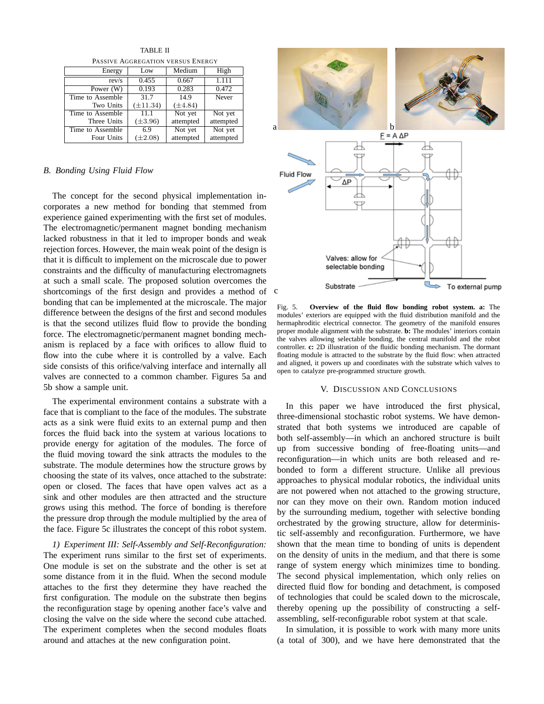PASSIVE AGGREGATION VERSUS ENERGY Energy Low Medium High rev/s 0.455 0.667 1.111 Power (W) 0.193 0.283 0.472<br>  $\alpha$  Assemble 31.7 14.9 Never Time to Assemble Two Units (±11.34) (±4.84)<br>Assemble 11.1 Not yet Time to Assemble | 11.1 | Not yet Not yet Three Units (±3.96) attempted attempted<br>to Assemble 6.9 Not yet Not yet Time to Assemble  $\begin{array}{|l|} 6.9 & \text{Not yet} \\ \hline \text{Four Units} & (\pm 2.08) & \text{attempted} \end{array}$ Four Units ( $\pm 2.08$ ) attempted attempted

TABLE II

#### *B. Bonding Using Fluid Flow*

The concept for the second physical implementation incorporates a new method for bonding that stemmed from experience gained experimenting with the first set of modules. The electromagnetic/permanent magnet bonding mechanism lacked robustness in that it led to improper bonds and weak rejection forces. However, the main weak point of the design is that it is difficult to implement on the microscale due to power constraints and the difficulty of manufacturing electromagnets at such a small scale. The proposed solution overcomes the shortcomings of the first design and provides a method of bonding that can be implemented at the microscale. The major difference between the designs of the first and second modules is that the second utilizes fluid flow to provide the bonding force. The electromagnetic/permanent magnet bonding mechanism is replaced by a face with orifices to allow fluid to flow into the cube where it is controlled by a valve. Each side consists of this orifice/valving interface and internally all valves are connected to a common chamber. Figures 5a and 5b show a sample unit.

The experimental environment contains a substrate with a face that is compliant to the face of the modules. The substrate acts as a sink were fluid exits to an external pump and then forces the fluid back into the system at various locations to provide energy for agitation of the modules. The force of the fluid moving toward the sink attracts the modules to the substrate. The module determines how the structure grows by choosing the state of its valves, once attached to the substrate: open or closed. The faces that have open valves act as a sink and other modules are then attracted and the structure grows using this method. The force of bonding is therefore the pressure drop through the module multiplied by the area of the face. Figure 5c illustrates the concept of this robot system.

*1) Experiment III: Self-Assembly and Self-Reconfiguration:* The experiment runs similar to the first set of experiments. One module is set on the substrate and the other is set at some distance from it in the fluid. When the second module attaches to the first they determine they have reached the first configuration. The module on the substrate then begins the reconfiguration stage by opening another face's valve and closing the valve on the side where the second cube attached. The experiment completes when the second modules floats around and attaches at the new configuration point.



Fig. 5. **Overview of the fluid flow bonding robot system. a:** The modules' exteriors are equipped with the fluid distribution manifold and the hermaphroditic electrical connector. The geometry of the manifold ensures proper module alignment with the substrate. **b:** The modules' interiors contain the valves allowing selectable bonding, the central manifold and the robot controller. **c:** 2D illustration of the fluidic bonding mechanism. The dormant floating module is attracted to the substrate by the fluid flow: when attracted and aligned, it powers up and coordinates with the substrate which valves to open to catalyze pre-programmed structure growth.

#### V. DISCUSSION AND CONCLUSIONS

In this paper we have introduced the first physical, three-dimensional stochastic robot systems. We have demonstrated that both systems we introduced are capable of both self-assembly—in which an anchored structure is built up from successive bonding of free-floating units—and reconfiguration—in which units are both released and rebonded to form a different structure. Unlike all previous approaches to physical modular robotics, the individual units are not powered when not attached to the growing structure, nor can they move on their own. Random motion induced by the surrounding medium, together with selective bonding orchestrated by the growing structure, allow for deterministic self-assembly and reconfiguration. Furthermore, we have shown that the mean time to bonding of units is dependent on the density of units in the medium, and that there is some range of system energy which minimizes time to bonding. The second physical implementation, which only relies on directed fluid flow for bonding and detachment, is composed of technologies that could be scaled down to the microscale, thereby opening up the possibility of constructing a selfassembling, self-reconfigurable robot system at that scale.

In simulation, it is possible to work with many more units (a total of 300), and we have here demonstrated that the